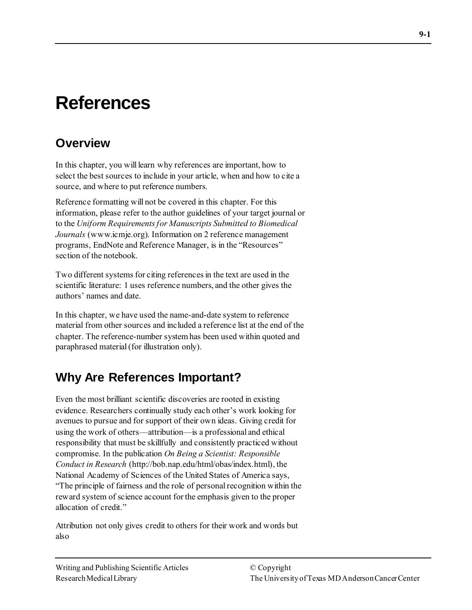# **References**

## **Overview**

In this chapter, you will learn why references are important, how to select the best sources to include in your article, when and how to cite a source, and where to put reference numbers.

Reference formatting will not be covered in this chapter. For this information, please refer to the author guidelines of your target journal or to the *Uniform Requirements for Manuscripts Submitted to Biomedical Journals* (www.icmje.org). Information on 2 reference management programs, EndNote and Reference Manager, is in the "Resources" section of the notebook.

Two different systems for citing references in the text are used in the scientific literature: 1 uses reference numbers, and the other gives the authors' names and date.

In this chapter, we have used the name-and-date system to reference material from other sources and included a reference list at the end of the chapter. The reference-number system has been used within quoted and paraphrased material (for illustration only).

# **Why Are References Important?**

Even the most brilliant scientific discoveries are rooted in existing evidence. Researchers continually study each other's work looking for avenues to pursue and for support of their own ideas. Giving credit for using the work of others—attribution—is a professional and ethical responsibility that must be skillfully and consistently practiced without compromise. In the publication *On Being a Scientist: Responsible Conduct in Research* (http://bob.nap.edu/html/obas/index.html), the National Academy of Sciences of the United States of America says, "The principle of fairness and the role of personal recognition within the reward system of science account for the emphasis given to the proper allocation of credit."

Attribution not only gives credit to others for their work and words but also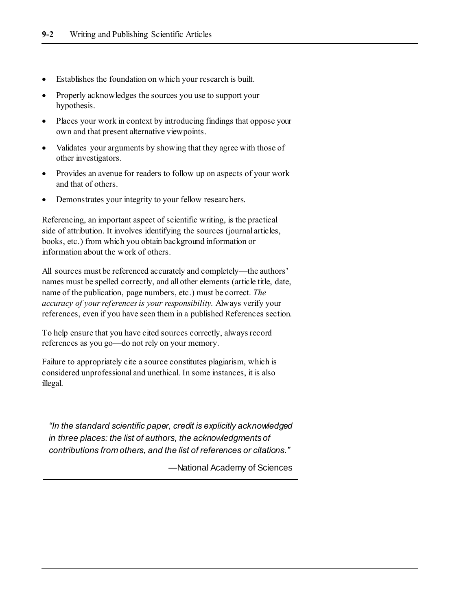- Establishes the foundation on which your research is built.
- Properly acknowledges the sources you use to support your hypothesis.
- Places your work in context by introducing findings that oppose your own and that present alternative viewpoints.
- Validates your arguments by showing that they agree with those of other investigators.
- Provides an avenue for readers to follow up on aspects of your work and that of others.
- Demonstrates your integrity to your fellow researchers.

Referencing, an important aspect of scientific writing, is the practical side of attribution. It involves identifying the sources (journal articles, books, etc.) from which you obtain background information or information about the work of others.

All sources must be referenced accurately and completely—the authors' names must be spelled correctly, and all other elements (article title, date, name of the publication, page numbers, etc.) must be correct. *The accuracy of your references is your responsibility.* Always verify your references, even if you have seen them in a published References section.

To help ensure that you have cited sources correctly, always record references as you go—do not rely on your memory.

Failure to appropriately cite a source constitutes plagiarism, which is considered unprofessional and unethical. In some instances, it is also illegal.

*"In the standard scientific paper, credit is explicitly acknowledged in three places: the list of authors, the acknowledgments of contributions from others, and the list of references or citations."* 

—National Academy of Sciences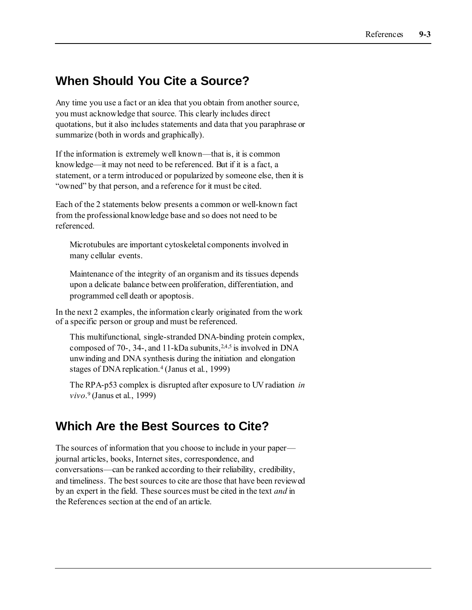#### **When Should You Cite a Source?**

Any time you use a fact or an idea that you obtain from another source, you must acknowledge that source. This clearly includes direct quotations, but it also includes statements and data that you paraphrase or summarize (both in words and graphically).

If the information is extremely well known—that is, it is common knowledge—it may not need to be referenced. But if it is a fact, a statement, or a term introduced or popularized by someone else, then it is "owned" by that person, and a reference for it must be cited.

Each of the 2 statements below presents a common or well-known fact from the professional knowledge base and so does not need to be referenced.

Microtubules are important cytoskeletal components involved in many cellular events.

Maintenance of the integrity of an organism and its tissues depends upon a delicate balance between proliferation, differentiation, and programmed cell death or apoptosis.

In the next 2 examples, the information clearly originated from the work of a specific person or group and must be referenced.

This multifunctional, single-stranded DNA-binding protein complex, composed of 70-, 34-, and 11-kDa subunits,  $24.5$  is involved in DNA unwinding and DNA synthesis during the initiation and elongation stages of DNA replication.<sup>4</sup> (Janus et al., 1999)

The RPA-p53 complex is disrupted after exposure to UV radiation *in vivo*. <sup>9</sup>(Janus et al., 1999)

### **Which Are the Best Sources to Cite?**

The sources of information that you choose to include in your paper journal articles, books, Internet sites, correspondence, and conversations—can be ranked according to their reliability, credibility, and timeliness. The best sources to cite are those that have been reviewed by an expert in the field. These sources must be cited in the text *and* in the References section at the end of an article.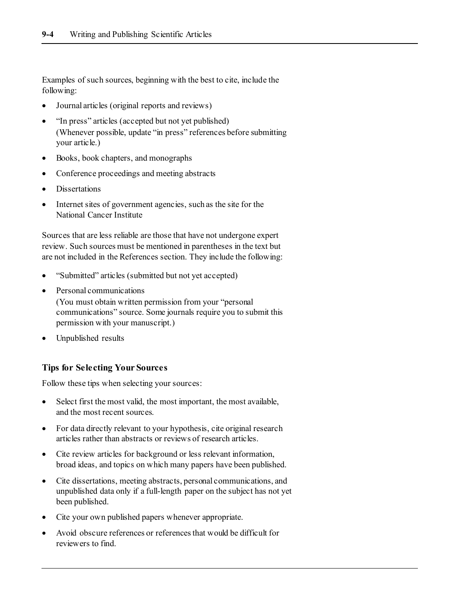Examples of such sources, beginning with the best to cite, include the following:

- Journal articles (original reports and reviews)
- "In press" articles (accepted but not yet published) (Whenever possible, update "in press" references before submitting your article.)
- Books, book chapters, and monographs
- Conference proceedings and meeting abstracts
- **Dissertations**
- Internet sites of government agencies, such as the site for the National Cancer Institute

Sources that are less reliable are those that have not undergone expert review. Such sources must be mentioned in parentheses in the text but are not included in the References section. They include the following:

- "Submitted" articles (submitted but not yet accepted)
- Personal communications

(You must obtain written permission from your "personal communications" source. Some journals require you to submit this permission with your manuscript.)

• Unpublished results

#### **Tips for Selecting Your Sources**

Follow these tips when selecting your sources:

- Select first the most valid, the most important, the most available, and the most recent sources.
- For data directly relevant to your hypothesis, cite original research articles rather than abstracts or reviews of research articles.
- Cite review articles for background or less relevant information, broad ideas, and topics on which many papers have been published.
- Cite dissertations, meeting abstracts, personal communications, and unpublished data only if a full-length paper on the subject has not yet been published.
- Cite your own published papers whenever appropriate.
- Avoid obscure references or references that would be difficult for reviewers to find.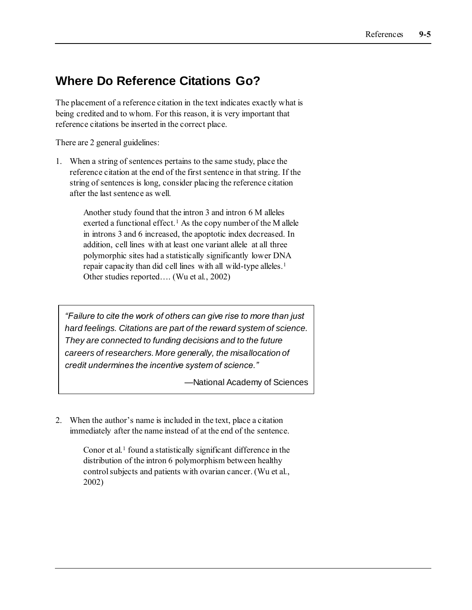### **Where Do Reference Citations Go?**

The placement of a reference citation in the text indicates exactly what is being credited and to whom. For this reason, it is very important that reference citations be inserted in the correct place.

There are 2 general guidelines:

1. When a string of sentences pertains to the same study, place the reference citation at the end of the first sentence in that string. If the string of sentences is long, consider placing the reference citation after the last sentence as well.

> Another study found that the intron 3 and intron 6 M alleles exerted a functional effect.<sup>1</sup> As the copy number of the M allele in introns 3 and 6 increased, the apoptotic index decreased. In addition, cell lines with at least one variant allele at all three polymorphic sites had a statistically significantly lower DNA repair capacity than did cell lines with all wild-type alleles.<sup>1</sup> Other studies reported…. (Wu et al., 2002)

*"Failure to cite the work of others can give rise to more than just hard feelings. Citations are part of the reward system of science. They are connected to funding decisions and to the future careers of researchers. More generally, the misallocation of credit undermines the incentive system of science."* 

—National Academy of Sciences

2. When the author's name is included in the text, place a citation immediately after the name instead of at the end of the sentence.

> Conor et al.<sup>1</sup> found a statistically significant difference in the distribution of the intron 6 polymorphism between healthy control subjects and patients with ovarian cancer. (Wu et al., 2002)